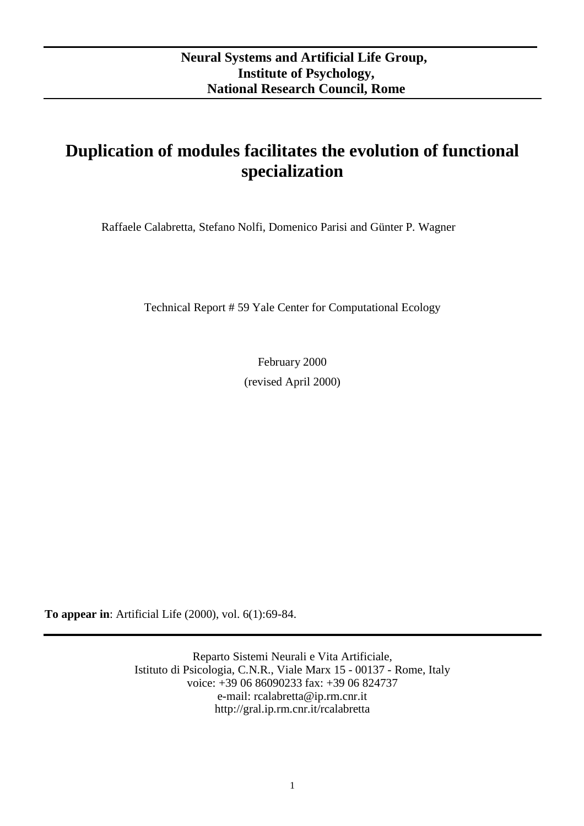# **Duplication of modules facilitates the evolution of functional specialization**

Raffaele Calabretta, Stefano Nolfi, Domenico Parisi and Günter P. Wagner

Technical Report # 59 Yale Center for Computational Ecology

February 2000 (revised April 2000)

**To appear in**: Artificial Life (2000), vol. 6(1):69-84.

Reparto Sistemi Neurali e Vita Artificiale, Istituto di Psicologia, C.N.R., Viale Marx 15 - 00137 - Rome, Italy voice: +39 06 86090233 fax: +39 06 824737 e-mail: rcalabretta@ip.rm.cnr.it http://gral.ip.rm.cnr.it/rcalabretta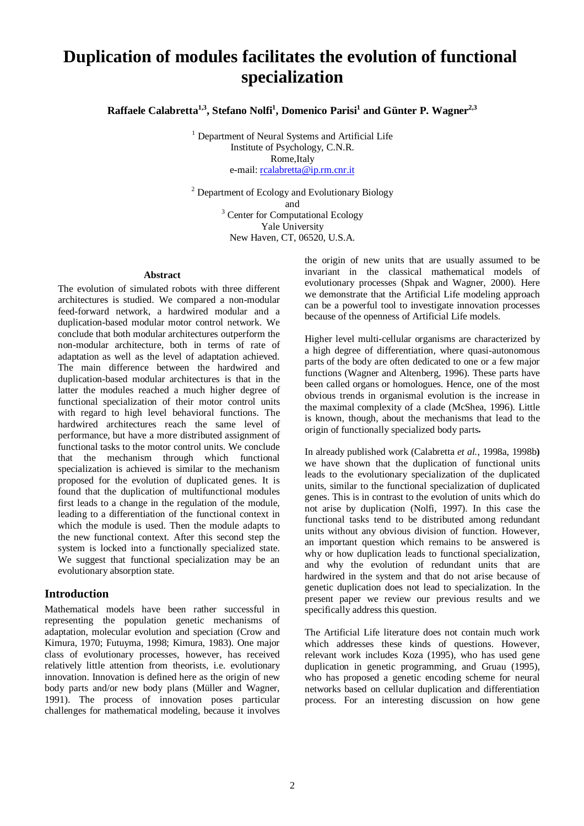## **Duplication of modules facilitates the evolution of functional specialization**

 $R$ affaele Calabretta<sup>1,3</sup>, Stefano Nolfi<sup>1</sup>, Domenico Parisi<sup>1</sup> and Günter P. Wagner<sup>2,3</sup>

<sup>1</sup> Department of Neural Systems and Artificial Life Institute of Psychology, C.N.R. Rome,Italy e-mail: rcalabretta@ip.rm.cnr.it

<sup>2</sup> Department of Ecology and Evolutionary Biology and<br><sup>3</sup> Center for Computational Ecology Yale University New Haven, CT, 06520, U.S.A.

#### **Abstract**

The evolution of simulated robots with three different architectures is studied. We compared a non-modular feed-forward network, a hardwired modular and a duplication-based modular motor control network. We conclude that both modular architectures outperform the non-modular architecture, both in terms of rate of adaptation as well as the level of adaptation achieved. The main difference between the hardwired and duplication-based modular architectures is that in the latter the modules reached a much higher degree of functional specialization of their motor control units with regard to high level behavioral functions. The hardwired architectures reach the same level of performance, but have a more distributed assignment of functional tasks to the motor control units. We conclude that the mechanism through which functional specialization is achieved is similar to the mechanism proposed for the evolution of duplicated genes. It is found that the duplication of multifunctional modules first leads to a change in the regulation of the module, leading to a differentiation of the functional context in which the module is used. Then the module adapts to the new functional context. After this second step the system is locked into a functionally specialized state. We suggest that functional specialization may be an evolutionary absorption state.

#### **Introduction**

Mathematical models have been rather successful in representing the population genetic mechanisms of adaptation, molecular evolution and speciation (Crow and Kimura, 1970; Futuyma, 1998; Kimura, 1983). One major class of evolutionary processes, however, has received relatively little attention from theorists, i.e. evolutionary innovation. Innovation is defined here as the origin of new body parts and/or new body plans (Müller and Wagner, 1991). The process of innovation poses particular challenges for mathematical modeling, because it involves

the origin of new units that are usually assumed to be invariant in the classical mathematical models of evolutionary processes (Shpak and Wagner, 2000). Here we demonstrate that the Artificial Life modeling approach can be a powerful tool to investigate innovation processes because of the openness of Artificial Life models.

Higher level multi-cellular organisms are characterized by a high degree of differentiation, where quasi-autonomous parts of the body are often dedicated to one or a few major functions (Wagner and Altenberg, 1996). These parts have been called organs or homologues. Hence, one of the most obvious trends in organismal evolution is the increase in the maximal complexity of a clade (McShea, 1996). Little is known, though, about the mechanisms that lead to the origin of functionally specialized body parts**.**

In already published work (Calabretta *et al.*, 1998a, 1998b**)** we have shown that the duplication of functional units leads to the evolutionary specialization of the duplicated units, similar to the functional specialization of duplicated genes. This is in contrast to the evolution of units which do not arise by duplication (Nolfi, 1997). In this case the functional tasks tend to be distributed among redundant units without any obvious division of function. However, an important question which remains to be answered is why or how duplication leads to functional specialization, and why the evolution of redundant units that are hardwired in the system and that do not arise because of genetic duplication does not lead to specialization. In the present paper we review our previous results and we specifically address this question.

The Artificial Life literature does not contain much work which addresses these kinds of questions. However, relevant work includes Koza (1995), who has used gene duplication in genetic programming, and Gruau (1995), who has proposed a genetic encoding scheme for neural networks based on cellular duplication and differentiation process. For an interesting discussion on how gene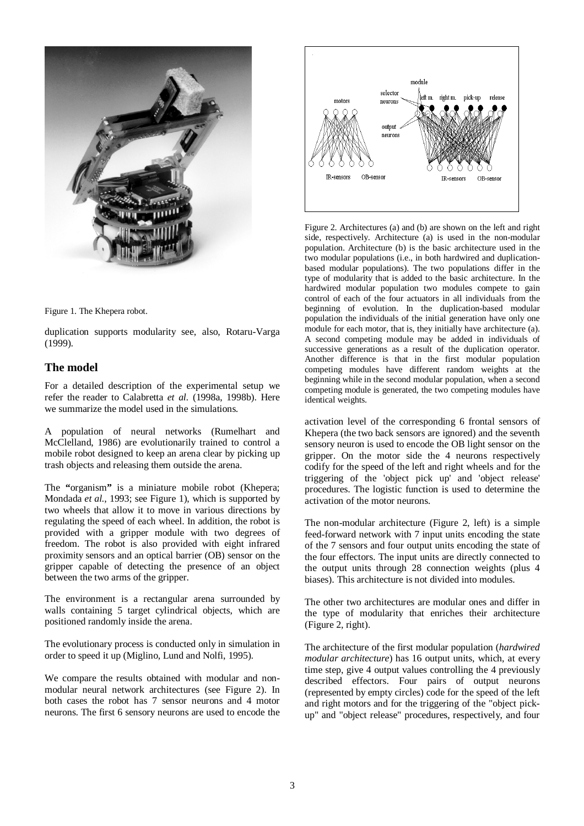

Figure 1. The Khepera robot.

duplication supports modularity see, also, Rotaru-Varga (1999).

## **The model**

For a detailed description of the experimental setup we refer the reader to Calabretta *et al.* (1998a, 1998b). Here we summarize the model used in the simulations.

A population of neural networks (Rumelhart and McClelland, 1986) are evolutionarily trained to control a mobile robot designed to keep an arena clear by picking up trash objects and releasing them outside the arena.

The **"**organism**"** is a miniature mobile robot (Khepera; Mondada *et al.*, 1993; see Figure 1), which is supported by two wheels that allow it to move in various directions by regulating the speed of each wheel. In addition, the robot is provided with a gripper module with two degrees of freedom. The robot is also provided with eight infrared proximity sensors and an optical barrier (OB) sensor on the gripper capable of detecting the presence of an object between the two arms of the gripper.

The environment is a rectangular arena surrounded by walls containing 5 target cylindrical objects, which are positioned randomly inside the arena.

The evolutionary process is conducted only in simulation in order to speed it up (Miglino, Lund and Nolfi, 1995).

We compare the results obtained with modular and nonmodular neural network architectures (see Figure 2). In both cases the robot has 7 sensor neurons and 4 motor neurons. The first 6 sensory neurons are used to encode the



Figure 2. Architectures (a) and (b) are shown on the left and right side, respectively. Architecture (a) is used in the non-modular population. Architecture (b) is the basic architecture used in the two modular populations (i.e., in both hardwired and duplicationbased modular populations). The two populations differ in the type of modularity that is added to the basic architecture. In the hardwired modular population two modules compete to gain control of each of the four actuators in all individuals from the beginning of evolution. In the duplication-based modular population the individuals of the initial generation have only one module for each motor, that is, they initially have architecture (a). A second competing module may be added in individuals of successive generations as a result of the duplication operator. Another difference is that in the first modular population competing modules have different random weights at the beginning while in the second modular population, when a second competing module is generated, the two competing modules have identical weights.

activation level of the corresponding 6 frontal sensors of Khepera (the two back sensors are ignored) and the seventh sensory neuron is used to encode the OB light sensor on the gripper. On the motor side the 4 neurons respectively codify for the speed of the left and right wheels and for the triggering of the 'object pick up' and 'object release' procedures. The logistic function is used to determine the activation of the motor neurons.

The non-modular architecture (Figure 2, left) is a simple feed-forward network with 7 input units encoding the state of the 7 sensors and four output units encoding the state of the four effectors. The input units are directly connected to the output units through 28 connection weights (plus 4 biases). This architecture is not divided into modules.

The other two architectures are modular ones and differ in the type of modularity that enriches their architecture (Figure 2, right).

The architecture of the first modular population (*hardwired modular architecture*) has 16 output units, which, at every time step, give 4 output values controlling the 4 previously described effectors. Four pairs of output neurons (represented by empty circles) code for the speed of the left and right motors and for the triggering of the "object pickup" and "object release" procedures, respectively, and four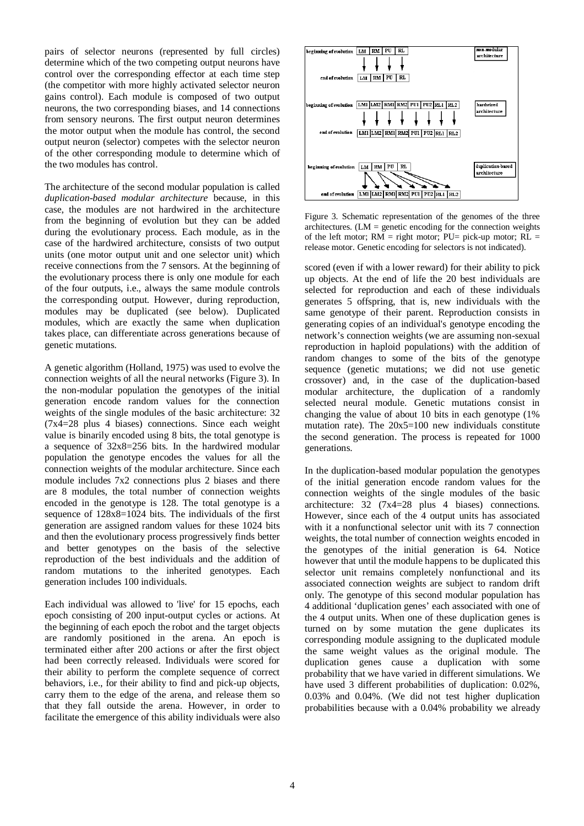pairs of selector neurons (represented by full circles) determine which of the two competing output neurons have control over the corresponding effector at each time step (the competitor with more highly activated selector neuron gains control). Each module is composed of two output neurons, the two corresponding biases, and 14 connections from sensory neurons. The first output neuron determines the motor output when the module has control, the second output neuron (selector) competes with the selector neuron of the other corresponding module to determine which of the two modules has control.

The architecture of the second modular population is called *duplication-based modular architecture* because, in this case, the modules are not hardwired in the architecture from the beginning of evolution but they can be added during the evolutionary process. Each module, as in the case of the hardwired architecture, consists of two output units (one motor output unit and one selector unit) which receive connections from the 7 sensors. At the beginning of the evolutionary process there is only one module for each of the four outputs, i.e., always the same module controls the corresponding output. However, during reproduction, modules may be duplicated (see below). Duplicated modules, which are exactly the same when duplication takes place, can differentiate across generations because of genetic mutations.

A genetic algorithm (Holland, 1975) was used to evolve the connection weights of all the neural networks (Figure 3). In the non-modular population the genotypes of the initial generation encode random values for the connection weights of the single modules of the basic architecture: 32 (7x4=28 plus 4 biases) connections. Since each weight value is binarily encoded using 8 bits, the total genotype is a sequence of 32x8=256 bits. In the hardwired modular population the genotype encodes the values for all the connection weights of the modular architecture. Since each module includes 7x2 connections plus 2 biases and there are 8 modules, the total number of connection weights encoded in the genotype is 128. The total genotype is a sequence of 128x8=1024 bits. The individuals of the first generation are assigned random values for these 1024 bits and then the evolutionary process progressively finds better and better genotypes on the basis of the selective reproduction of the best individuals and the addition of random mutations to the inherited genotypes. Each generation includes 100 individuals.

Each individual was allowed to 'live' for 15 epochs, each epoch consisting of 200 input-output cycles or actions. At the beginning of each epoch the robot and the target objects are randomly positioned in the arena. An epoch is terminated either after 200 actions or after the first object had been correctly released. Individuals were scored for their ability to perform the complete sequence of correct behaviors, i.e., for their ability to find and pick-up objects, carry them to the edge of the arena, and release them so that they fall outside the arena. However, in order to facilitate the emergence of this ability individuals were also



Figure 3. Schematic representation of the genomes of the three architectures.  $(LM =$  genetic encoding for the connection weights of the left motor;  $RM =$  right motor;  $PU=$  pick-up motor;  $RL =$ release motor. Genetic encoding for selectors is not indicated).

scored (even if with a lower reward) for their ability to pick up objects. At the end of life the 20 best individuals are selected for reproduction and each of these individuals generates 5 offspring, that is, new individuals with the same genotype of their parent. Reproduction consists in generating copies of an individual's genotype encoding the network's connection weights (we are assuming non-sexual reproduction in haploid populations) with the addition of random changes to some of the bits of the genotype sequence (genetic mutations; we did not use genetic crossover) and, in the case of the duplication-based modular architecture, the duplication of a randomly selected neural module. Genetic mutations consist in changing the value of about 10 bits in each genotype (1% mutation rate). The  $20x5=100$  new individuals constitute the second generation. The process is repeated for 1000 generations.

In the duplication-based modular population the genotypes of the initial generation encode random values for the connection weights of the single modules of the basic architecture: 32 (7x4=28 plus 4 biases) connections. However, since each of the 4 output units has associated with it a nonfunctional selector unit with its 7 connection weights, the total number of connection weights encoded in the genotypes of the initial generation is 64. Notice however that until the module happens to be duplicated this selector unit remains completely nonfunctional and its associated connection weights are subject to random drift only. The genotype of this second modular population has 4 additional 'duplication genes' each associated with one of the 4 output units. When one of these duplication genes is turned on by some mutation the gene duplicates its corresponding module assigning to the duplicated module the same weight values as the original module. The duplication genes cause a duplication with some probability that we have varied in different simulations. We have used 3 different probabilities of duplication:  $0.02\%$ , 0.03% and 0.04%. (We did not test higher duplication probabilities because with a 0.04% probability we already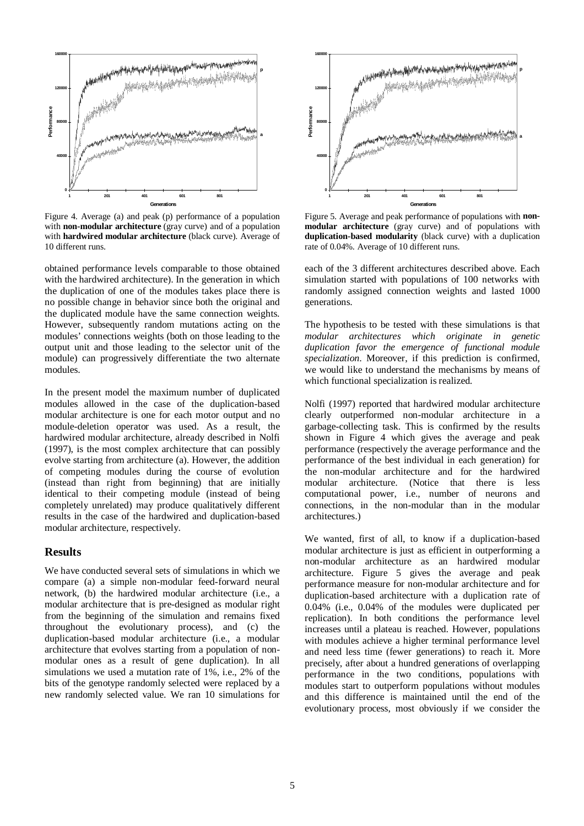

Figure 4. Average (a) and peak (p) performance of a population with **non-modular architecture** (gray curve) and of a population with **hardwired modular architecture** (black curve). Average of 10 different runs.

obtained performance levels comparable to those obtained with the hardwired architecture). In the generation in which the duplication of one of the modules takes place there is no possible change in behavior since both the original and the duplicated module have the same connection weights. However, subsequently random mutations acting on the modules' connections weights (both on those leading to the output unit and those leading to the selector unit of the module) can progressively differentiate the two alternate modules.

In the present model the maximum number of duplicated modules allowed in the case of the duplication-based modular architecture is one for each motor output and no module-deletion operator was used. As a result, the hardwired modular architecture, already described in Nolfi (1997), is the most complex architecture that can possibly evolve starting from architecture (a). However, the addition of competing modules during the course of evolution (instead than right from beginning) that are initially identical to their competing module (instead of being completely unrelated) may produce qualitatively different results in the case of the hardwired and duplication-based modular architecture, respectively.

#### **Results**

We have conducted several sets of simulations in which we compare (a) a simple non-modular feed-forward neural network, (b) the hardwired modular architecture (i.e., a modular architecture that is pre-designed as modular right from the beginning of the simulation and remains fixed throughout the evolutionary process), and (c) the duplication-based modular architecture (i.e., a modular architecture that evolves starting from a population of nonmodular ones as a result of gene duplication). In all simulations we used a mutation rate of 1%, i.e., 2% of the bits of the genotype randomly selected were replaced by a new randomly selected value. We ran 10 simulations for



Figure 5. Average and peak performance of populations with **nonmodular architecture** (gray curve) and of populations with **duplication-based modularity** (black curve) with a duplication rate of 0.04%. Average of 10 different runs.

each of the 3 different architectures described above. Each simulation started with populations of 100 networks with randomly assigned connection weights and lasted 1000 generations.

The hypothesis to be tested with these simulations is that *modular architectures which originate in genetic duplication favor the emergence of functional module specialization*. Moreover, if this prediction is confirmed, we would like to understand the mechanisms by means of which functional specialization is realized.

Nolfi (1997) reported that hardwired modular architecture clearly outperformed non-modular architecture in a garbage-collecting task. This is confirmed by the results shown in Figure 4 which gives the average and peak performance (respectively the average performance and the performance of the best individual in each generation) for the non-modular architecture and for the hardwired modular architecture. (Notice that there is less computational power, i.e., number of neurons and connections, in the non-modular than in the modular architectures.)

We wanted, first of all, to know if a duplication-based modular architecture is just as efficient in outperforming a non-modular architecture as an hardwired modular architecture. Figure 5 gives the average and peak performance measure for non-modular architecture and for duplication-based architecture with a duplication rate of 0.04% (i.e., 0.04% of the modules were duplicated per replication). In both conditions the performance level increases until a plateau is reached. However, populations with modules achieve a higher terminal performance level and need less time (fewer generations) to reach it. More precisely, after about a hundred generations of overlapping performance in the two conditions, populations with modules start to outperform populations without modules and this difference is maintained until the end of the evolutionary process, most obviously if we consider the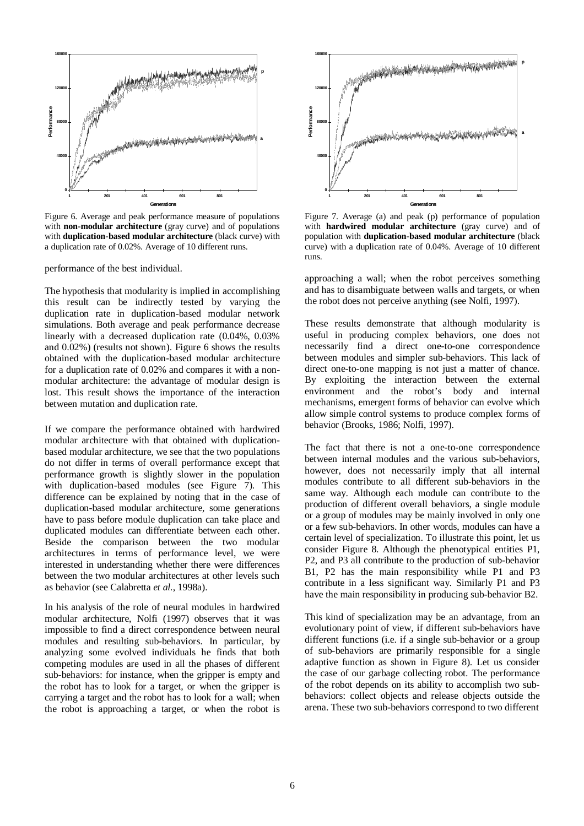

Figure 6. Average and peak performance measure of populations with **non-modular architecture** (gray curve) and of populations with **duplication-based modular architecture** (black curve) with a duplication rate of 0.02%. Average of 10 different runs.

performance of the best individual.

The hypothesis that modularity is implied in accomplishing this result can be indirectly tested by varying the duplication rate in duplication-based modular network simulations. Both average and peak performance decrease linearly with a decreased duplication rate (0.04%, 0.03% and 0.02%) (results not shown). Figure 6 shows the results obtained with the duplication-based modular architecture for a duplication rate of 0.02% and compares it with a nonmodular architecture: the advantage of modular design is lost. This result shows the importance of the interaction between mutation and duplication rate.

If we compare the performance obtained with hardwired modular architecture with that obtained with duplicationbased modular architecture, we see that the two populations do not differ in terms of overall performance except that performance growth is slightly slower in the population with duplication-based modules (see Figure 7). This difference can be explained by noting that in the case of duplication-based modular architecture, some generations have to pass before module duplication can take place and duplicated modules can differentiate between each other. Beside the comparison between the two modular architectures in terms of performance level, we were interested in understanding whether there were differences between the two modular architectures at other levels such as behavior (see Calabretta *et al.*, 1998a).

In his analysis of the role of neural modules in hardwired modular architecture, Nolfi (1997) observes that it was impossible to find a direct correspondence between neural modules and resulting sub-behaviors. In particular, by analyzing some evolved individuals he finds that both competing modules are used in all the phases of different sub-behaviors: for instance, when the gripper is empty and the robot has to look for a target, or when the gripper is carrying a target and the robot has to look for a wall; when the robot is approaching a target, or when the robot is



Figure 7. Average (a) and peak (p) performance of population with **hardwired modular architecture** (gray curve) and of population with **duplication-based modular architecture** (black curve) with a duplication rate of 0.04%. Average of 10 different runs.

approaching a wall; when the robot perceives something and has to disambiguate between walls and targets, or when the robot does not perceive anything (see Nolfi, 1997).

These results demonstrate that although modularity is useful in producing complex behaviors, one does not necessarily find a direct one-to-one correspondence between modules and simpler sub-behaviors. This lack of direct one-to-one mapping is not just a matter of chance. By exploiting the interaction between the external environment and the robot's body and internal mechanisms, emergent forms of behavior can evolve which allow simple control systems to produce complex forms of behavior (Brooks, 1986; Nolfi, 1997).

The fact that there is not a one-to-one correspondence between internal modules and the various sub-behaviors, however, does not necessarily imply that all internal modules contribute to all different sub-behaviors in the same way. Although each module can contribute to the production of different overall behaviors, a single module or a group of modules may be mainly involved in only one or a few sub-behaviors. In other words, modules can have a certain level of specialization. To illustrate this point, let us consider Figure 8. Although the phenotypical entities P1, P2, and P3 all contribute to the production of sub-behavior B1, P2 has the main responsibility while P1 and P3 contribute in a less significant way. Similarly P1 and P3 have the main responsibility in producing sub-behavior B2.

This kind of specialization may be an advantage, from an evolutionary point of view, if different sub-behaviors have different functions (i.e. if a single sub-behavior or a group of sub-behaviors are primarily responsible for a single adaptive function as shown in Figure 8). Let us consider the case of our garbage collecting robot. The performance of the robot depends on its ability to accomplish two subbehaviors: collect objects and release objects outside the arena. These two sub-behaviors correspond to two different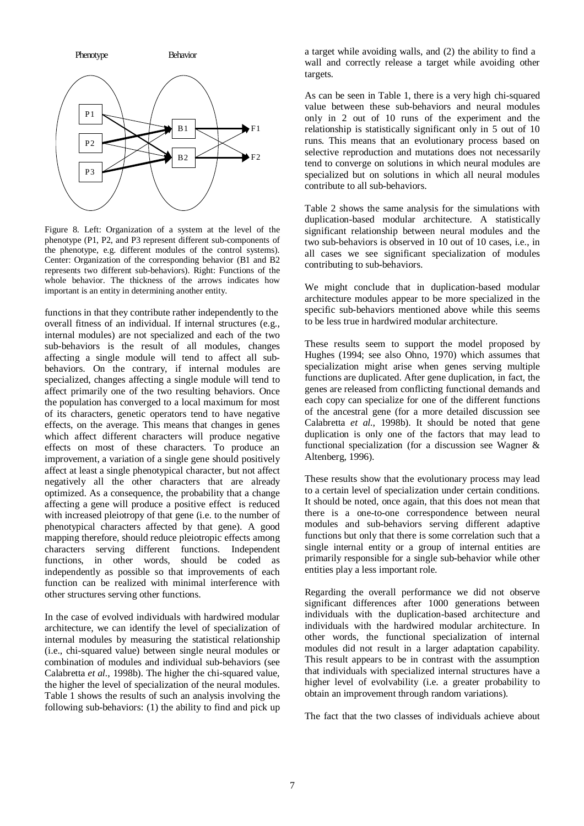

Figure 8. Left: Organization of a system at the level of the phenotype (P1, P2, and P3 represent different sub-components of the phenotype, e.g. different modules of the control systems). Center: Organization of the corresponding behavior (B1 and B2 represents two different sub-behaviors). Right: Functions of the whole behavior. The thickness of the arrows indicates how important is an entity in determining another entity.

functions in that they contribute rather independently to the overall fitness of an individual. If internal structures (e.g., internal modules) are not specialized and each of the two sub-behaviors is the result of all modules, changes affecting a single module will tend to affect all subbehaviors. On the contrary, if internal modules are specialized, changes affecting a single module will tend to affect primarily one of the two resulting behaviors. Once the population has converged to a local maximum for most of its characters, genetic operators tend to have negative effects, on the average. This means that changes in genes which affect different characters will produce negative effects on most of these characters. To produce an improvement, a variation of a single gene should positively affect at least a single phenotypical character, but not affect negatively all the other characters that are already optimized. As a consequence, the probability that a change affecting a gene will produce a positive effect is reduced with increased pleiotropy of that gene (i.e. to the number of phenotypical characters affected by that gene). A good mapping therefore, should reduce pleiotropic effects among characters serving different functions. Independent functions, in other words, should be coded as independently as possible so that improvements of each function can be realized with minimal interference with other structures serving other functions.

In the case of evolved individuals with hardwired modular architecture, we can identify the level of specialization of internal modules by measuring the statistical relationship (i.e., chi-squared value) between single neural modules or combination of modules and individual sub-behaviors (see Calabretta *et al.*, 1998b). The higher the chi-squared value, the higher the level of specialization of the neural modules. Table 1 shows the results of such an analysis involving the following sub-behaviors: (1) the ability to find and pick up a target while avoiding walls, and (2) the ability to find a wall and correctly release a target while avoiding other targets.

As can be seen in Table 1, there is a very high chi-squared value between these sub-behaviors and neural modules only in 2 out of 10 runs of the experiment and the relationship is statistically significant only in 5 out of 10 runs. This means that an evolutionary process based on selective reproduction and mutations does not necessarily tend to converge on solutions in which neural modules are specialized but on solutions in which all neural modules contribute to all sub-behaviors.

Table 2 shows the same analysis for the simulations with duplication-based modular architecture. A statistically significant relationship between neural modules and the two sub-behaviors is observed in 10 out of 10 cases, i.e., in all cases we see significant specialization of modules contributing to sub-behaviors.

We might conclude that in duplication-based modular architecture modules appear to be more specialized in the specific sub-behaviors mentioned above while this seems to be less true in hardwired modular architecture.

These results seem to support the model proposed by Hughes (1994; see also Ohno, 1970) which assumes that specialization might arise when genes serving multiple functions are duplicated. After gene duplication, in fact, the genes are released from conflicting functional demands and each copy can specialize for one of the different functions of the ancestral gene (for a more detailed discussion see Calabretta *et al.*, 1998b). It should be noted that gene duplication is only one of the factors that may lead to functional specialization (for a discussion see Wagner & Altenberg, 1996).

These results show that the evolutionary process may lead to a certain level of specialization under certain conditions. It should be noted, once again, that this does not mean that there is a one-to-one correspondence between neural modules and sub-behaviors serving different adaptive functions but only that there is some correlation such that a single internal entity or a group of internal entities are primarily responsible for a single sub-behavior while other entities play a less important role.

Regarding the overall performance we did not observe significant differences after 1000 generations between individuals with the duplication-based architecture and individuals with the hardwired modular architecture. In other words, the functional specialization of internal modules did not result in a larger adaptation capability. This result appears to be in contrast with the assumption that individuals with specialized internal structures have a higher level of evolvability (i.e. a greater probability to obtain an improvement through random variations).

The fact that the two classes of individuals achieve about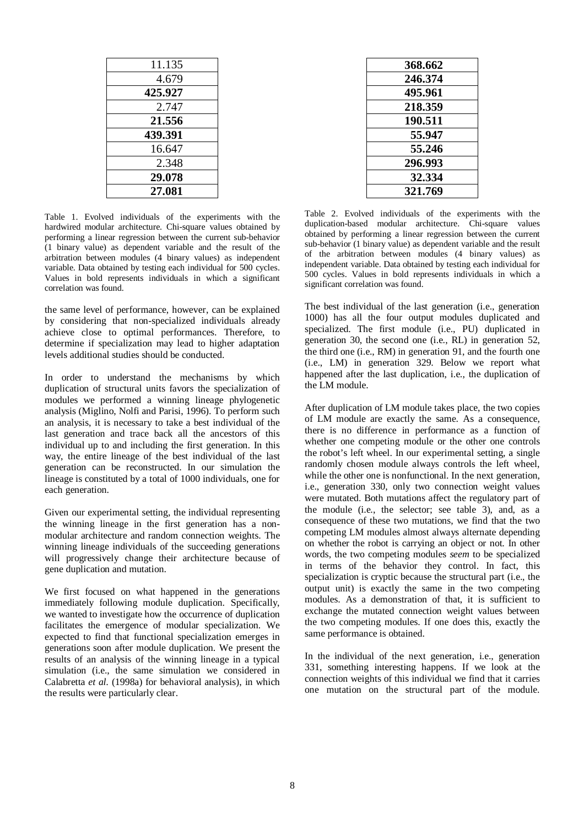| 11.135  |
|---------|
| 4.679   |
| 425.927 |
| 2.747   |
| 21.556  |
| 439.391 |
| 16.647  |
| 2.348   |
| 29.078  |
| 27.081  |
|         |

Table 1. Evolved individuals of the experiments with the hardwired modular architecture. Chi-square values obtained by performing a linear regression between the current sub-behavior (1 binary value) as dependent variable and the result of the arbitration between modules (4 binary values) as independent variable. Data obtained by testing each individual for 500 cycles. Values in bold represents individuals in which a significant correlation was found.

the same level of performance, however, can be explained by considering that non-specialized individuals already achieve close to optimal performances. Therefore, to determine if specialization may lead to higher adaptation levels additional studies should be conducted.

In order to understand the mechanisms by which duplication of structural units favors the specialization of modules we performed a winning lineage phylogenetic analysis (Miglino, Nolfi and Parisi, 1996). To perform such an analysis, it is necessary to take a best individual of the last generation and trace back all the ancestors of this individual up to and including the first generation. In this way, the entire lineage of the best individual of the last generation can be reconstructed. In our simulation the lineage is constituted by a total of 1000 individuals, one for each generation.

Given our experimental setting, the individual representing the winning lineage in the first generation has a nonmodular architecture and random connection weights. The winning lineage individuals of the succeeding generations will progressively change their architecture because of gene duplication and mutation.

We first focused on what happened in the generations immediately following module duplication. Specifically, we wanted to investigate how the occurrence of duplication facilitates the emergence of modular specialization. We expected to find that functional specialization emerges in generations soon after module duplication. We present the results of an analysis of the winning lineage in a typical simulation (i.e., the same simulation we considered in Calabretta *et al.* (1998a) for behavioral analysis), in which the results were particularly clear.

| 368.662 |
|---------|
| 246.374 |
| 495.961 |
| 218.359 |
| 190.511 |
| 55.947  |
| 55.246  |
| 296.993 |
| 32.334  |
| 321.769 |
|         |

Table 2. Evolved individuals of the experiments with the duplication-based modular architecture. Chi-square values obtained by performing a linear regression between the current sub-behavior (1 binary value) as dependent variable and the result of the arbitration between modules (4 binary values) as independent variable. Data obtained by testing each individual for 500 cycles. Values in bold represents individuals in which a significant correlation was found.

The best individual of the last generation (i.e., generation 1000) has all the four output modules duplicated and specialized. The first module (i.e., PU) duplicated in generation 30, the second one (i.e., RL) in generation 52, the third one (i.e., RM) in generation 91, and the fourth one (i.e., LM) in generation 329. Below we report what happened after the last duplication, i.e., the duplication of the LM module.

After duplication of LM module takes place, the two copies of LM module are exactly the same. As a consequence, there is no difference in performance as a function of whether one competing module or the other one controls the robot's left wheel. In our experimental setting, a single randomly chosen module always controls the left wheel, while the other one is nonfunctional. In the next generation, i.e., generation 330, only two connection weight values were mutated. Both mutations affect the regulatory part of the module (i.e., the selector; see table 3), and, as a consequence of these two mutations, we find that the two competing LM modules almost always alternate depending on whether the robot is carrying an object or not. In other words, the two competing modules *seem* to be specialized in terms of the behavior they control. In fact, this specialization is cryptic because the structural part (i.e., the output unit) is exactly the same in the two competing modules. As a demonstration of that, it is sufficient to exchange the mutated connection weight values between the two competing modules. If one does this, exactly the same performance is obtained.

In the individual of the next generation, i.e., generation 331, something interesting happens. If we look at the connection weights of this individual we find that it carries one mutation on the structural part of the module.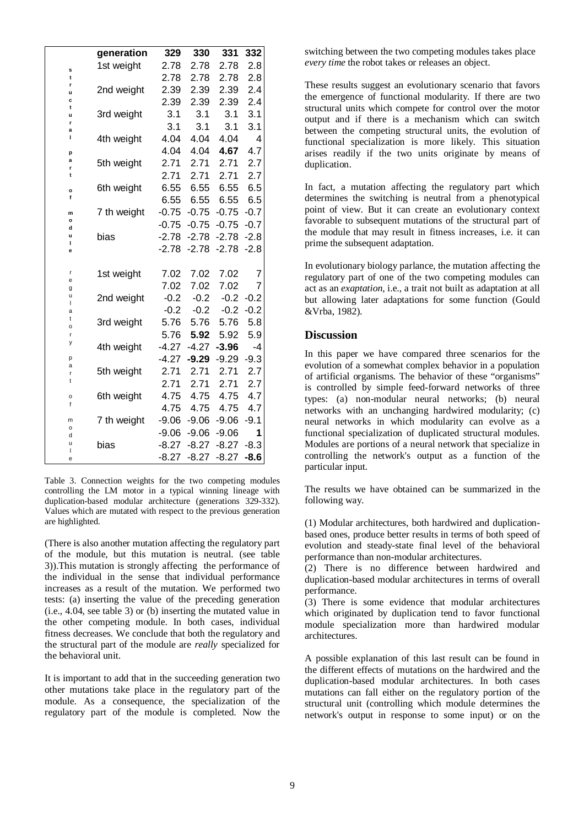|              | generation  | 329                | 330     | 331     | 332    |
|--------------|-------------|--------------------|---------|---------|--------|
| s            | 1st weight  | 2.78               | 2.78    | 2.78    | 2.8    |
| t            |             | 2.78               | 2.78    | 2.78    | 2.8    |
| r<br>u       | 2nd weight  | 2.39               | 2.39    | 2.39    | 2.4    |
| c<br>t       |             | 2.39               | 2.39    | 2.39    | 2.4    |
| u            | 3rd weight  | 3.1                | 3.1     | 3.1     | 3.1    |
| r<br>a       |             | 3.1                | 3.1     | 3.1     | 3.1    |
| ı            | 4th weight  | 4.04               | 4.04    | 4.04    | 4      |
| p            |             | 4.04               | 4.04    | 4.67    | 4.7    |
| a<br>r       | 5th weight  | 2.71               | 2.71    | 2.71    | 2.7    |
| t            |             | 2.71               | 2.71    | 2.71    | 2.7    |
| $\circ$      | 6th weight  | 6.55               | 6.55    | 6.55    | 6.5    |
| f            |             | 6.55               | 6.55    | 6.55    | 6.5    |
| m            | 7 th weight | $-0.75$            | $-0.75$ | $-0.75$ | $-0.7$ |
| $\circ$<br>d |             | $-0.75$            | $-0.75$ | $-0.75$ | $-0.7$ |
| u<br>г       | bias        | $-2.78$            | $-2.78$ | $-2.78$ | $-2.8$ |
| e            |             | $-2.78$            | $-2.78$ | $-2.78$ | $-2.8$ |
|              |             |                    |         |         |        |
| r<br>e       | 1st weight  | 7.02               | 7.02    | 7.02    | 7      |
| g<br>u       |             | 7.02               | 7.02    | 7.02    | 7      |
| L            | 2nd weight  | $-0.2$             | $-0.2$  | $-0.2$  | $-0.2$ |
| a<br>t       |             | $-0.2$             | $-0.2$  | $-0.2$  | $-0.2$ |
| o            | 3rd weight  | 5.76               | 5.76    | 5.76    | 5.8    |
| r<br>у       |             | 5.76               | 5.92    | 5.92    | 5.9    |
| p            | 4th weight  | $-4.27$<br>$-4.27$ | $-4.27$ | $-3.96$ | -4     |
| a            |             |                    | $-9.29$ | $-9.29$ | $-9.3$ |
| r<br>t       | 5th weight  | 2.71               | 2.71    | 2.71    | 2.7    |
|              |             | 2.71               | 2.71    | 2.71    | 2.7    |
| o<br>f       | 6th weight  | 4.75               | 4.75    | 4.75    | 4.7    |
|              |             | 4.75               | 4.75    | 4.75    | 4.7    |
| m<br>o       | 7 th weight | $-9.06$            | $-9.06$ | $-9.06$ | $-9.1$ |
| d<br>u       |             | $-9.06$            | $-9.06$ | $-9.06$ | 1      |
| I            | bias        | $-8.27$            | $-8.27$ | $-8.27$ | $-8.3$ |
| e            |             | $-8.27$            | $-8.27$ | $-8.27$ | $-8.6$ |

Table 3. Connection weights for the two competing modules controlling the LM motor in a typical winning lineage with duplication-based modular architecture (generations 329-332). Values which are mutated with respect to the previous generation are highlighted.

(There is also another mutation affecting the regulatory part of the module, but this mutation is neutral. (see table 3)).This mutation is strongly affecting the performance of the individual in the sense that individual performance increases as a result of the mutation. We performed two tests: (a) inserting the value of the preceding generation (i.e., 4.04, see table 3) or (b) inserting the mutated value in the other competing module. In both cases, individual fitness decreases. We conclude that both the regulatory and the structural part of the module are *really* specialized for the behavioral unit.

It is important to add that in the succeeding generation two other mutations take place in the regulatory part of the module. As a consequence, the specialization of the regulatory part of the module is completed. Now the switching between the two competing modules takes place *every time* the robot takes or releases an object.

These results suggest an evolutionary scenario that favors the emergence of functional modularity. If there are two structural units which compete for control over the motor output and if there is a mechanism which can switch between the competing structural units, the evolution of functional specialization is more likely. This situation arises readily if the two units originate by means of duplication.

In fact, a mutation affecting the regulatory part which determines the switching is neutral from a phenotypical point of view. But it can create an evolutionary context favorable to subsequent mutations of the structural part of the module that may result in fitness increases, i.e. it can prime the subsequent adaptation.

In evolutionary biology parlance, the mutation affecting the regulatory part of one of the two competing modules can act as an *exaptation*, i.e., a trait not built as adaptation at all but allowing later adaptations for some function (Gould &Vrba, 1982).

## **Discussion**

In this paper we have compared three scenarios for the evolution of a somewhat complex behavior in a population of artificial organisms. The behavior of these "organisms" is controlled by simple feed-forward networks of three types: (a) non-modular neural networks; (b) neural networks with an unchanging hardwired modularity; (c) neural networks in which modularity can evolve as a functional specialization of duplicated structural modules. Modules are portions of a neural network that specialize in controlling the network's output as a function of the particular input.

The results we have obtained can be summarized in the following way.

(1) Modular architectures, both hardwired and duplicationbased ones, produce better results in terms of both speed of evolution and steady-state final level of the behavioral performance than non-modular architectures.

(2) There is no difference between hardwired and duplication-based modular architectures in terms of overall performance.

(3) There is some evidence that modular architectures which originated by duplication tend to favor functional module specialization more than hardwired modular architectures.

A possible explanation of this last result can be found in the different effects of mutations on the hardwired and the duplication-based modular architectures. In both cases mutations can fall either on the regulatory portion of the structural unit (controlling which module determines the network's output in response to some input) or on the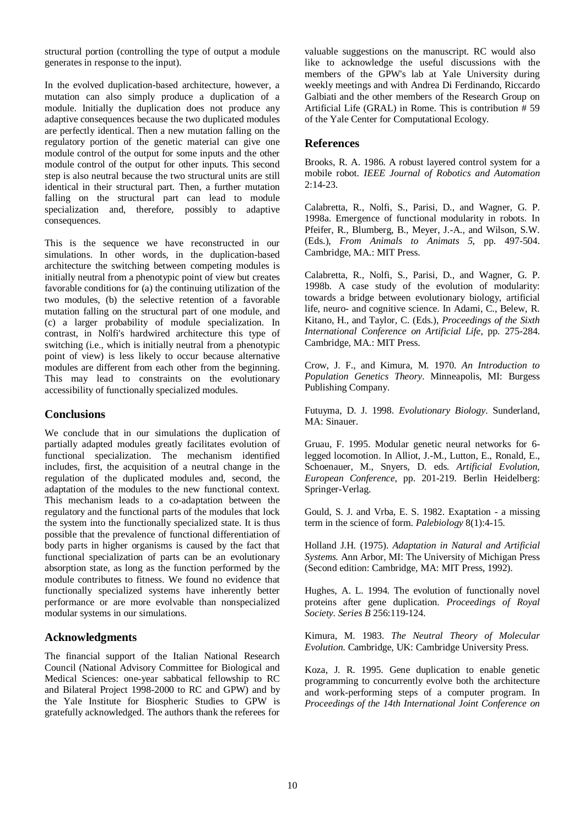structural portion (controlling the type of output a module generates in response to the input).

In the evolved duplication-based architecture, however, a mutation can also simply produce a duplication of a module. Initially the duplication does not produce any adaptive consequences because the two duplicated modules are perfectly identical. Then a new mutation falling on the regulatory portion of the genetic material can give one module control of the output for some inputs and the other module control of the output for other inputs. This second step is also neutral because the two structural units are still identical in their structural part. Then, a further mutation falling on the structural part can lead to module specialization and, therefore, possibly to adaptive consequences.

This is the sequence we have reconstructed in our simulations. In other words, in the duplication-based architecture the switching between competing modules is initially neutral from a phenotypic point of view but creates favorable conditions for (a) the continuing utilization of the two modules, (b) the selective retention of a favorable mutation falling on the structural part of one module, and (c) a larger probability of module specialization. In contrast, in Nolfi's hardwired architecture this type of switching (i.e., which is initially neutral from a phenotypic point of view) is less likely to occur because alternative modules are different from each other from the beginning. This may lead to constraints on the evolutionary accessibility of functionally specialized modules.

### **Conclusions**

We conclude that in our simulations the duplication of partially adapted modules greatly facilitates evolution of functional specialization. The mechanism identified includes, first, the acquisition of a neutral change in the regulation of the duplicated modules and, second, the adaptation of the modules to the new functional context. This mechanism leads to a co-adaptation between the regulatory and the functional parts of the modules that lock the system into the functionally specialized state. It is thus possible that the prevalence of functional differentiation of body parts in higher organisms is caused by the fact that functional specialization of parts can be an evolutionary absorption state, as long as the function performed by the module contributes to fitness. We found no evidence that functionally specialized systems have inherently better performance or are more evolvable than nonspecialized modular systems in our simulations.

## **Acknowledgments**

The financial support of the Italian National Research Council (National Advisory Committee for Biological and Medical Sciences: one-year sabbatical fellowship to RC and Bilateral Project 1998-2000 to RC and GPW) and by the Yale Institute for Biospheric Studies to GPW is gratefully acknowledged. The authors thank the referees for valuable suggestions on the manuscript. RC would also like to acknowledge the useful discussions with the members of the GPW's lab at Yale University during weekly meetings and with Andrea Di Ferdinando, Riccardo Galbiati and the other members of the Research Group on Artificial Life (GRAL) in Rome. This is contribution # 59 of the Yale Center for Computational Ecology.

### **References**

Brooks, R. A. 1986. A robust layered control system for a mobile robot. *IEEE Journal of Robotics and Automation* 2:14-23.

Calabretta, R., Nolfi, S., Parisi, D., and Wagner, G. P. 1998a. Emergence of functional modularity in robots. In Pfeifer, R., Blumberg, B., Meyer, J.-A., and Wilson, S.W. (Eds.), *From Animals to Animats 5*, pp. 497-504. Cambridge, MA.: MIT Press.

Calabretta, R., Nolfi, S., Parisi, D., and Wagner, G. P. 1998b. A case study of the evolution of modularity: towards a bridge between evolutionary biology, artificial life, neuro- and cognitive science. In Adami, C., Belew, R. Kitano, H., and Taylor, C. (Eds.), *Proceedings of the Sixth International Conference on Artificial Life*, pp. 275-284. Cambridge, MA.: MIT Press.

Crow, J. F., and Kimura, M. 1970. *An Introduction to Population Genetics Theory*. Minneapolis, MI: Burgess Publishing Company.

Futuyma, D. J. 1998. *Evolutionary Biology*. Sunderland, MA: Sinauer.

Gruau, F. 1995. Modular genetic neural networks for 6 legged locomotion. In Alliot, J.-M., Lutton, E., Ronald, E., Schoenauer, M., Snyers, D. eds*. Artificial Evolution, European Conference*, pp. 201-219. Berlin Heidelberg: Springer-Verlag.

Gould, S. J. and Vrba, E. S. 1982. Exaptation - a missing term in the science of form. *Palebiology* 8(1):4-15.

Holland J.H. (1975). *Adaptation in Natural and Artificial Systems.* Ann Arbor, MI: The University of Michigan Press (Second edition: Cambridge, MA: MIT Press, 1992).

Hughes, A. L. 1994. The evolution of functionally novel proteins after gene duplication. *Proceedings of Royal Society. Series B* 256:119-124.

Kimura, M. 1983. *The Neutral Theory of Molecular Evolution*. Cambridge, UK: Cambridge University Press.

Koza, J. R. 1995. Gene duplication to enable genetic programming to concurrently evolve both the architecture and work-performing steps of a computer program. In *Proceedings of the 14th International Joint Conference on*